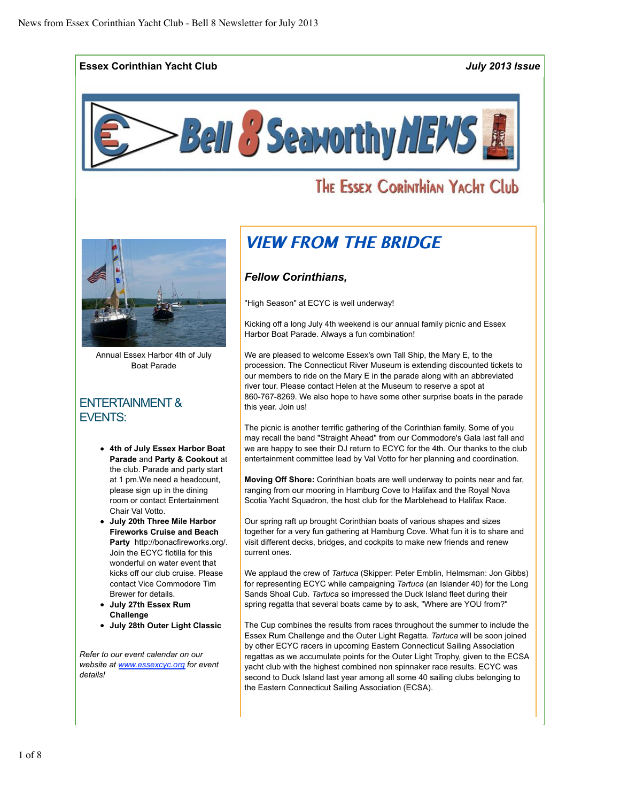**Essex Corinthian Yacht Club** *July 2013 Issue*



# THE ESSEX CORINTHIAN YACHT Club



Annual Essex Harbor 4th of July Boat Parade

## ENTERTAINMENT & EVENTS:

- **4th of July Essex Harbor Boat Parade** and **Party & Cookout** at the club. Parade and party start at 1 pm.We need a headcount, please sign up in the dining room or contact Entertainment Chair Val Votto.
- **July 20th Three Mile Harbor Fireworks Cruise and Beach Party** http://bonacfireworks.org/. Join the ECYC flotilla for this wonderful on water event that kicks off our club cruise. Please contact Vice Commodore Tim Brewer for details.
- **July 27th Essex Rum Challenge**
- **July 28th Outer Light Classic**

*Refer to our event calendar on our website at www.essexcyc.org for event details!*

# VIEW FROM THE BRIDGE

### *Fellow Corinthians,*

"High Season" at ECYC is well underway!

Kicking off a long July 4th weekend is our annual family picnic and Essex Harbor Boat Parade. Always a fun combination!

We are pleased to welcome Essex's own Tall Ship, the Mary E, to the procession. The Connecticut River Museum is extending discounted tickets to our members to ride on the Mary E in the parade along with an abbreviated river tour. Please contact Helen at the Museum to reserve a spot at 860-767-8269. We also hope to have some other surprise boats in the parade this year. Join us!

The picnic is another terrific gathering of the Corinthian family. Some of you may recall the band "Straight Ahead" from our Commodore's Gala last fall and we are happy to see their DJ return to ECYC for the 4th. Our thanks to the club entertainment committee lead by Val Votto for her planning and coordination.

**Moving Off Shore:** Corinthian boats are well underway to points near and far, ranging from our mooring in Hamburg Cove to Halifax and the Royal Nova Scotia Yacht Squadron, the host club for the Marblehead to Halifax Race.

Our spring raft up brought Corinthian boats of various shapes and sizes together for a very fun gathering at Hamburg Cove. What fun it is to share and visit different decks, bridges, and cockpits to make new friends and renew current ones.

We applaud the crew of *Tartuca* (Skipper: Peter Emblin, Helmsman: Jon Gibbs) for representing ECYC while campaigning *Tartuca* (an Islander 40) for the Long Sands Shoal Cub. *Tartuca* so impressed the Duck Island fleet during their spring regatta that several boats came by to ask, "Where are YOU from?"

The Cup combines the results from races throughout the summer to include the Essex Rum Challenge and the Outer Light Regatta. *Tartuca* will be soon joined by other ECYC racers in upcoming Eastern Connecticut Sailing Association regattas as we accumulate points for the Outer Light Trophy, given to the ECSA yacht club with the highest combined non spinnaker race results. ECYC was second to Duck Island last year among all some 40 sailing clubs belonging to the Eastern Connecticut Sailing Association (ECSA).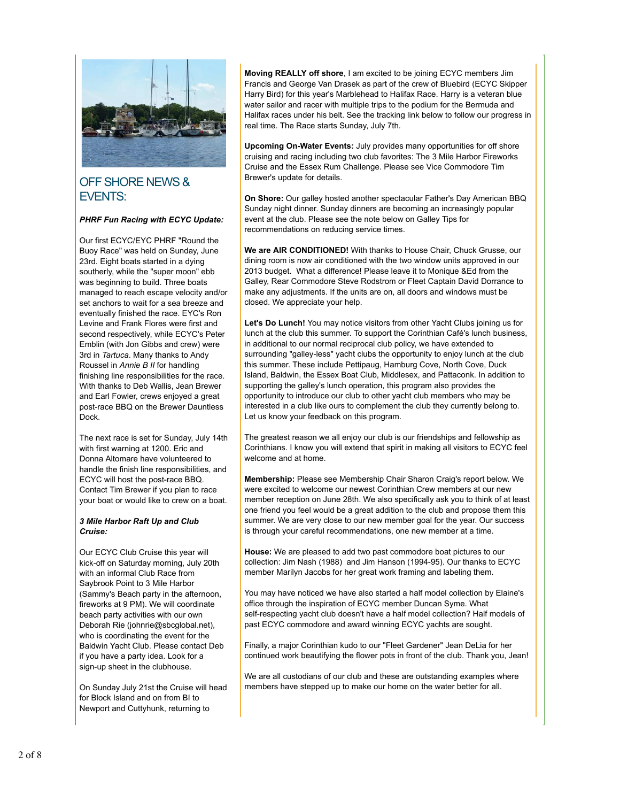

## OFF SHORE NEWS & EVENTS:

### *PHRF Fun Racing with ECYC Update:*

Our first ECYC/EYC PHRF "Round the Buoy Race" was held on Sunday, June 23rd. Eight boats started in a dying southerly, while the "super moon" ebb was beginning to build. Three boats managed to reach escape velocity and/or set anchors to wait for a sea breeze and eventually finished the race. EYC's Ron Levine and Frank Flores were first and second respectively, while ECYC's Peter Emblin (with Jon Gibbs and crew) were 3rd in *Tartuca*. Many thanks to Andy Roussel in *Annie B II* for handling finishing line responsibilities for the race. With thanks to Deb Wallis, Jean Brewer and Earl Fowler, crews enjoyed a great post-race BBQ on the Brewer Dauntless Dock.

The next race is set for Sunday, July 14th with first warning at 1200. Eric and Donna Altomare have volunteered to handle the finish line responsibilities, and ECYC will host the post-race BBQ. Contact Tim Brewer if you plan to race your boat or would like to crew on a boat.

#### *3 Mile Harbor Raft Up and Club Cruise:*

Our ECYC Club Cruise this year will kick-off on Saturday morning, July 20th with an informal Club Race from Saybrook Point to 3 Mile Harbor (Sammy's Beach party in the afternoon, fireworks at 9 PM). We will coordinate beach party activities with our own Deborah Rie (johnrie@sbcglobal.net), who is coordinating the event for the Baldwin Yacht Club. Please contact Deb if you have a party idea. Look for a sign-up sheet in the clubhouse.

On Sunday July 21st the Cruise will head for Block Island and on from BI to Newport and Cuttyhunk, returning to

**Moving REALLY off shore**, I am excited to be joining ECYC members Jim Francis and George Van Drasek as part of the crew of Bluebird (ECYC Skipper Harry Bird) for this year's Marblehead to Halifax Race. Harry is a veteran blue water sailor and racer with multiple trips to the podium for the Bermuda and Halifax races under his belt. See the tracking link below to follow our progress in real time. The Race starts Sunday, July 7th.

**Upcoming On-Water Events:** July provides many opportunities for off shore cruising and racing including two club favorites: The 3 Mile Harbor Fireworks Cruise and the Essex Rum Challenge. Please see Vice Commodore Tim Brewer's update for details.

**On Shore:** Our galley hosted another spectacular Father's Day American BBQ Sunday night dinner. Sunday dinners are becoming an increasingly popular event at the club. Please see the note below on Galley Tips for recommendations on reducing service times.

**We are AIR CONDITIONED!** With thanks to House Chair, Chuck Grusse, our dining room is now air conditioned with the two window units approved in our 2013 budget. What a difference! Please leave it to Monique &Ed from the Galley, Rear Commodore Steve Rodstrom or Fleet Captain David Dorrance to make any adjustments. If the units are on, all doors and windows must be closed. We appreciate your help.

**Let's Do Lunch!** You may notice visitors from other Yacht Clubs joining us for lunch at the club this summer. To support the Corinthian Café's lunch business, in additional to our normal reciprocal club policy, we have extended to surrounding "galley-less" yacht clubs the opportunity to enjoy lunch at the club this summer. These include Pettipaug, Hamburg Cove, North Cove, Duck Island, Baldwin, the Essex Boat Club, Middlesex, and Pattaconk. In addition to supporting the galley's lunch operation, this program also provides the opportunity to introduce our club to other yacht club members who may be interested in a club like ours to complement the club they currently belong to. Let us know your feedback on this program.

The greatest reason we all enjoy our club is our friendships and fellowship as Corinthians. I know you will extend that spirit in making all visitors to ECYC feel welcome and at home.

**Membership:** Please see Membership Chair Sharon Craig's report below. We were excited to welcome our newest Corinthian Crew members at our new member reception on June 28th. We also specifically ask you to think of at least one friend you feel would be a great addition to the club and propose them this summer. We are very close to our new member goal for the year. Our success is through your careful recommendations, one new member at a time.

**House:** We are pleased to add two past commodore boat pictures to our collection: Jim Nash (1988) and Jim Hanson (1994-95). Our thanks to ECYC member Marilyn Jacobs for her great work framing and labeling them.

You may have noticed we have also started a half model collection by Elaine's office through the inspiration of ECYC member Duncan Syme. What self-respecting yacht club doesn't have a half model collection? Half models of past ECYC commodore and award winning ECYC yachts are sought.

Finally, a major Corinthian kudo to our "Fleet Gardener" Jean DeLia for her continued work beautifying the flower pots in front of the club. Thank you, Jean!

We are all custodians of our club and these are outstanding examples where members have stepped up to make our home on the water better for all.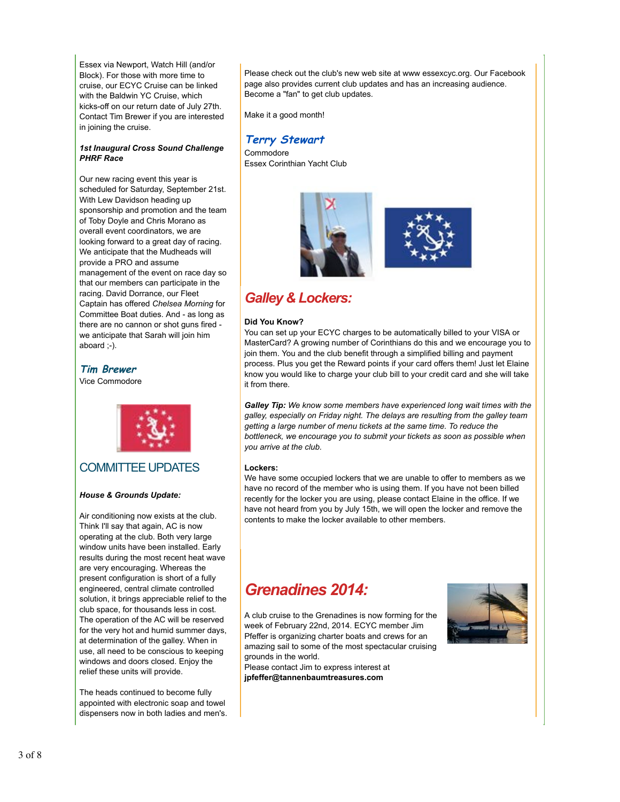Essex via Newport, Watch Hill (and/or Block). For those with more time to cruise, our ECYC Cruise can be linked with the Baldwin YC Cruise, which kicks-off on our return date of July 27th. Contact Tim Brewer if you are interested in joining the cruise.

#### *1st Inaugural Cross Sound Challenge PHRF Race*

Our new racing event this year is scheduled for Saturday, September 21st. With Lew Davidson heading up sponsorship and promotion and the team of Toby Doyle and Chris Morano as overall event coordinators, we are looking forward to a great day of racing. We anticipate that the Mudheads will provide a PRO and assume management of the event on race day so that our members can participate in the racing. David Dorrance, our Fleet Captain has offered *Chelsea Morning* for Committee Boat duties. And - as long as there are no cannon or shot guns fired we anticipate that Sarah will join him aboard ;-).

**Tim Brewer**

Vice Commodore



### COMMITTEE UPDATES

### *House & Grounds Update:*

Air conditioning now exists at the club. Think I'll say that again, AC is now operating at the club. Both very large window units have been installed. Early results during the most recent heat wave are very encouraging. Whereas the present configuration is short of a fully engineered, central climate controlled solution, it brings appreciable relief to the club space, for thousands less in cost. The operation of the AC will be reserved for the very hot and humid summer days, at determination of the galley. When in use, all need to be conscious to keeping windows and doors closed. Enjoy the relief these units will provide.

The heads continued to become fully appointed with electronic soap and towel dispensers now in both ladies and men's. Please check out the club's new web site at www essexcyc.org. Our Facebook page also provides current club updates and has an increasing audience. Become a "fan" to get club updates.

Make it a good month!

### **Terry Stewart**

Commodore Essex Corinthian Yacht Club





## *Galley & Lockers:*

#### **Did You Know?**

You can set up your ECYC charges to be automatically billed to your VISA or MasterCard? A growing number of Corinthians do this and we encourage you to join them. You and the club benefit through a simplified billing and payment process. Plus you get the Reward points if your card offers them! Just let Elaine know you would like to charge your club bill to your credit card and she will take it from there.

*Galley Tip: We know some members have experienced long wait times with the galley, especially on Friday night. The delays are resulting from the galley team getting a large number of menu tickets at the same time. To reduce the bottleneck, we encourage you to submit your tickets as soon as possible when you arrive at the club.*

### **Lockers:**

We have some occupied lockers that we are unable to offer to members as we have no record of the member who is using them. If you have not been billed recently for the locker you are using, please contact Elaine in the office. If we have not heard from you by July 15th, we will open the locker and remove the contents to make the locker available to other members.

# *Grenadines 2014:*

A club cruise to the Grenadines is now forming for the week of February 22nd, 2014. ECYC member Jim Pfeffer is organizing charter boats and crews for an amazing sail to some of the most spectacular cruising grounds in the world.

Please contact Jim to express interest at **jpfeffer@tannenbaumtreasures.com**

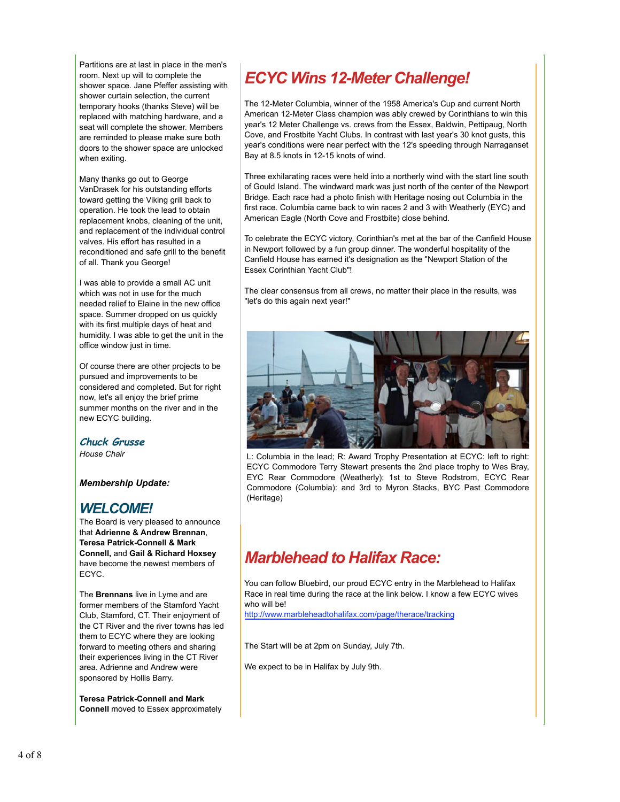Partitions are at last in place in the men's room. Next up will to complete the shower space. Jane Pfeffer assisting with shower curtain selection, the current temporary hooks (thanks Steve) will be replaced with matching hardware, and a seat will complete the shower. Members are reminded to please make sure both doors to the shower space are unlocked when exiting.

Many thanks go out to George VanDrasek for his outstanding efforts toward getting the Viking grill back to operation. He took the lead to obtain replacement knobs, cleaning of the unit, and replacement of the individual control valves. His effort has resulted in a reconditioned and safe grill to the benefit of all. Thank you George!

I was able to provide a small AC unit which was not in use for the much needed relief to Elaine in the new office space. Summer dropped on us quickly with its first multiple days of heat and humidity. I was able to get the unit in the office window just in time.

Of course there are other projects to be pursued and improvements to be considered and completed. But for right now, let's all enjoy the brief prime summer months on the river and in the new ECYC building.

**Chuck Grusse**

*House Chair*

*Membership Update:*

## *WELCOME!*

The Board is very pleased to announce that **Adrienne & Andrew Brennan**, **Teresa Patrick-Connell & Mark Connell,** and **Gail & Richard Hoxsey** have become the newest members of ECYC.

The **Brennans** live in Lyme and are former members of the Stamford Yacht Club, Stamford, CT. Their enjoyment of the CT River and the river towns has led them to ECYC where they are looking forward to meeting others and sharing their experiences living in the CT River area. Adrienne and Andrew were sponsored by Hollis Barry.

**Teresa Patrick-Connell and Mark Connell** moved to Essex approximately

# *ECYC Wins 12-Meter Challenge!*

The 12-Meter Columbia, winner of the 1958 America's Cup and current North American 12-Meter Class champion was ably crewed by Corinthians to win this year's 12 Meter Challenge vs. crews from the Essex, Baldwin, Pettipaug, North Cove, and Frostbite Yacht Clubs. In contrast with last year's 30 knot gusts, this year's conditions were near perfect with the 12's speeding through Narraganset Bay at 8.5 knots in 12-15 knots of wind.

Three exhilarating races were held into a northerly wind with the start line south of Gould Island. The windward mark was just north of the center of the Newport Bridge. Each race had a photo finish with Heritage nosing out Columbia in the first race. Columbia came back to win races 2 and 3 with Weatherly (EYC) and American Eagle (North Cove and Frostbite) close behind.

To celebrate the ECYC victory, Corinthian's met at the bar of the Canfield House in Newport followed by a fun group dinner. The wonderful hospitality of the Canfield House has earned it's designation as the "Newport Station of the Essex Corinthian Yacht Club"!

The clear consensus from all crews, no matter their place in the results, was "let's do this again next year!"



L: Columbia in the lead; R: Award Trophy Presentation at ECYC: left to right: ECYC Commodore Terry Stewart presents the 2nd place trophy to Wes Bray, EYC Rear Commodore (Weatherly); 1st to Steve Rodstrom, ECYC Rear Commodore (Columbia): and 3rd to Myron Stacks, BYC Past Commodore (Heritage)

# *Marblehead to Halifax Race:*

You can follow Bluebird, our proud ECYC entry in the Marblehead to Halifax Race in real time during the race at the link below. I know a few ECYC wives who will be!

http://www.marbleheadtohalifax.com/page/therace/tracking

The Start will be at 2pm on Sunday, July 7th.

We expect to be in Halifax by July 9th.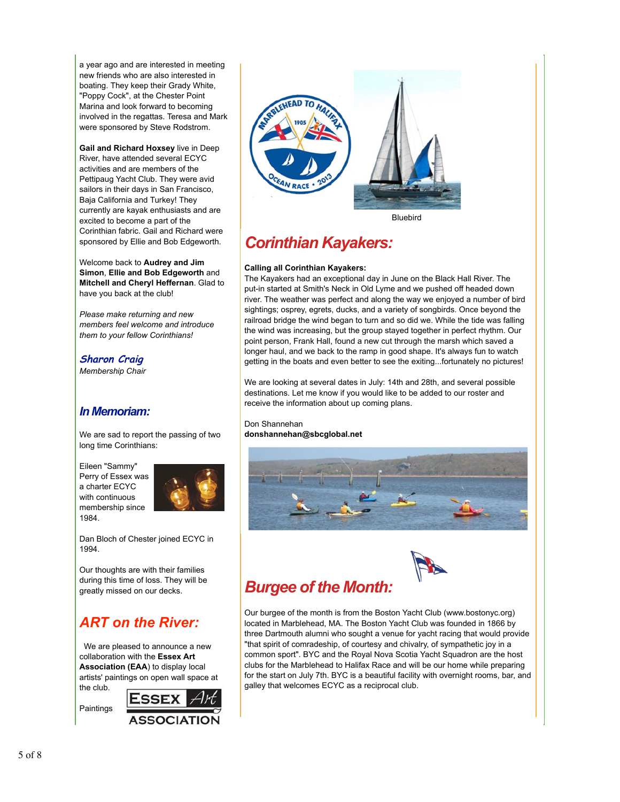a year ago and are interested in meeting new friends who are also interested in boating. They keep their Grady White, "Poppy Cock", at the Chester Point Marina and look forward to becoming involved in the regattas. Teresa and Mark were sponsored by Steve Rodstrom.

**Gail and Richard Hoxsey** live in Deep River, have attended several ECYC activities and are members of the Pettipaug Yacht Club. They were avid sailors in their days in San Francisco, Baja California and Turkey! They currently are kayak enthusiasts and are excited to become a part of the Corinthian fabric. Gail and Richard were sponsored by Ellie and Bob Edgeworth.

Welcome back to **Audrey and Jim Simon**, **Ellie and Bob Edgeworth** and **Mitchell and Cheryl Heffernan**. Glad to have you back at the club!

*Please make returning and new members feel welcome and introduce them to your fellow Corinthians!*

**Sharon Craig**

*Membership Chair* 

## *In Memoriam:*

We are sad to report the passing of two long time Corinthians:

Eileen "Sammy" Perry of Essex was a charter ECYC with continuous membership since 1984.



Dan Bloch of Chester joined ECYC in 1994.

Our thoughts are with their families during this time of loss. They will be greatly missed on our decks.

# *ART on the River:*

 We are pleased to announce a new collaboration with the **Essex Art Association (EAA**) to display local artists' paintings on open wall space at the club.

ESSEX Paintings **ASSOCIATION** 



Bluebird

# *Corinthian Kayakers:*

### **Calling all Corinthian Kayakers:**

The Kayakers had an exceptional day in June on the Black Hall River. The put-in started at Smith's Neck in Old Lyme and we pushed off headed down river. The weather was perfect and along the way we enjoyed a number of bird sightings; osprey, egrets, ducks, and a variety of songbirds. Once beyond the railroad bridge the wind began to turn and so did we. While the tide was falling the wind was increasing, but the group stayed together in perfect rhythm. Our point person, Frank Hall, found a new cut through the marsh which saved a longer haul, and we back to the ramp in good shape. It's always fun to watch getting in the boats and even better to see the exiting...fortunately no pictures!

We are looking at several dates in July: 14th and 28th, and several possible destinations. Let me know if you would like to be added to our roster and receive the information about up coming plans.

Don Shannehan **donshannehan@sbcglobal.net**





# *Burgee of the Month:*

Our burgee of the month is from the Boston Yacht Club (www.bostonyc.org) located in Marblehead, MA. The Boston Yacht Club was founded in 1866 by three Dartmouth alumni who sought a venue for yacht racing that would provide "that spirit of comradeship, of courtesy and chivalry, of sympathetic joy in a common sport". BYC and the Royal Nova Scotia Yacht Squadron are the host clubs for the Marblehead to Halifax Race and will be our home while preparing for the start on July 7th. BYC is a beautiful facility with overnight rooms, bar, and galley that welcomes ECYC as a reciprocal club.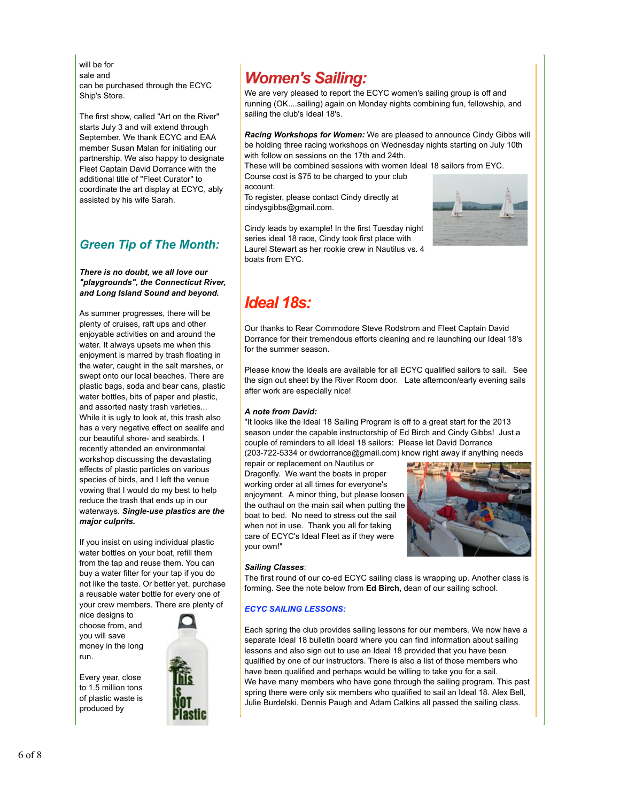will be for sale and can be purchased through the ECYC Ship's Store.

The first show, called "Art on the River" starts July 3 and will extend through September. We thank ECYC and EAA member Susan Malan for initiating our partnership. We also happy to designate Fleet Captain David Dorrance with the additional title of "Fleet Curator" to coordinate the art display at ECYC, ably assisted by his wife Sarah.

## *Green Tip of The Month:*

*There is no doubt, we all love our "playgrounds", the Connecticut River, and Long Island Sound and beyond.*

As summer progresses, there will be plenty of cruises, raft ups and other enjoyable activities on and around the water. It always upsets me when this enjoyment is marred by trash floating in the water, caught in the salt marshes, or swept onto our local beaches. There are plastic bags, soda and bear cans, plastic water bottles, bits of paper and plastic, and assorted nasty trash varieties... While it is ugly to look at, this trash also has a very negative effect on sealife and our beautiful shore- and seabirds. I recently attended an environmental workshop discussing the devastating effects of plastic particles on various species of birds, and I left the venue vowing that I would do my best to help reduce the trash that ends up in our waterways. *Single-use plastics are the major culprits.*

If you insist on using individual plastic water bottles on your boat, refill them from the tap and reuse them. You can buy a water filter for your tap if you do not like the taste. Or better yet, purchase a reusable water bottle for every one of your crew members. There are plenty of

nice designs to choose from, and you will save money in the long run.

Every year, close to 1.5 million tons of plastic waste is produced by



We are very pleased to report the ECYC women's sailing group is off and running (OK....sailing) again on Monday nights combining fun, fellowship, and sailing the club's Ideal 18's.

*Racing Workshops for Women:* We are pleased to announce Cindy Gibbs will be holding three racing workshops on Wednesday nights starting on July 10th with follow on sessions on the 17th and 24th.

These will be combined sessions with women Ideal 18 sailors from EYC. Course cost is \$75 to be charged to your club

account.

To register, please contact Cindy directly at cindysgibbs@gmail.com.

Cindy leads by example! In the first Tuesday night series ideal 18 race, Cindy took first place with Laurel Stewart as her rookie crew in Nautilus vs. 4 boats from EYC.



# *Ideal 18s:*

Our thanks to Rear Commodore Steve Rodstrom and Fleet Captain David Dorrance for their tremendous efforts cleaning and re launching our Ideal 18's for the summer season.

Please know the Ideals are available for all ECYC qualified sailors to sail. See the sign out sheet by the River Room door. Late afternoon/early evening sails after work are especially nice!

### *A note from David:*

"It looks like the Ideal 18 Sailing Program is off to a great start for the 2013 season under the capable instructorship of Ed Birch and Cindy Gibbs! Just a couple of reminders to all Ideal 18 sailors: Please let David Dorrance (203-722-5334 or dwdorrance@gmail.com) know right away if anything needs

repair or replacement on Nautilus or Dragonfly. We want the boats in proper working order at all times for everyone's enjoyment. A minor thing, but please loosen the outhaul on the main sail when putting the boat to bed. No need to stress out the sail when not in use. Thank you all for taking care of ECYC's Ideal Fleet as if they were your own!"



### *Sailing Classes*:

The first round of our co-ed ECYC sailing class is wrapping up. Another class is forming. See the note below from **Ed Birch,** dean of our sailing school.

### *ECYC SAILING LESSONS:*

Each spring the club provides sailing lessons for our members. We now have a separate Ideal 18 bulletin board where you can find information about sailing lessons and also sign out to use an Ideal 18 provided that you have been qualified by one of our instructors. There is also a list of those members who have been qualified and perhaps would be willing to take you for a sail. We have many members who have gone through the sailing program. This past spring there were only six members who qualified to sail an Ideal 18. Alex Bell, Julie Burdelski, Dennis Paugh and Adam Calkins all passed the sailing class.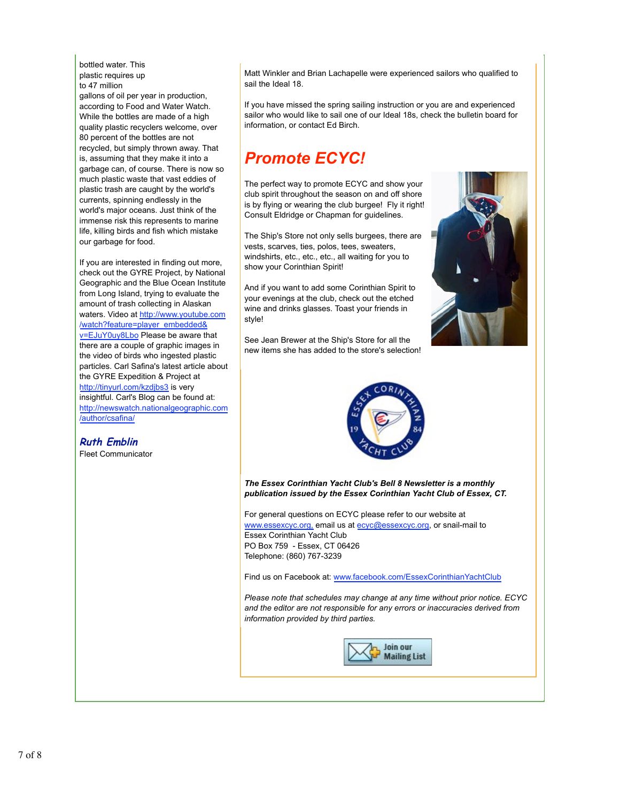bottled water. This plastic requires up to 47 million

gallons of oil per year in production, according to Food and Water Watch. While the bottles are made of a high quality plastic recyclers welcome, over 80 percent of the bottles are not recycled, but simply thrown away. That is, assuming that they make it into a garbage can, of course. There is now so much plastic waste that vast eddies of plastic trash are caught by the world's currents, spinning endlessly in the world's major oceans. Just think of the immense risk this represents to marine life, killing birds and fish which mistake our garbage for food.

If you are interested in finding out more, check out the GYRE Project, by National Geographic and the Blue Ocean Institute from Long Island, trying to evaluate the amount of trash collecting in Alaskan waters. Video at http://www.youtube.com /watch?feature=player\_embedded& v=EJuY0uy8Lbo Please be aware that there are a couple of graphic images in the video of birds who ingested plastic particles. Carl Safina's latest article about the GYRE Expedition & Project at http://tinyurl.com/kzdjbs3 is very insightful. Carl's Blog can be found at: http://newswatch.nationalgeographic.com /author/csafina/

**Ruth Emblin**

Fleet Communicator

Matt Winkler and Brian Lachapelle were experienced sailors who qualified to sail the Ideal 18.

If you have missed the spring sailing instruction or you are and experienced sailor who would like to sail one of our Ideal 18s, check the bulletin board for information, or contact Ed Birch.

# *Promote ECYC!*

The perfect way to promote ECYC and show your club spirit throughout the season on and off shore is by flying or wearing the club burgee! Fly it right! Consult Eldridge or Chapman for guidelines.

The Ship's Store not only sells burgees, there are vests, scarves, ties, polos, tees, sweaters, windshirts, etc., etc., etc., all waiting for you to show your Corinthian Spirit!

And if you want to add some Corinthian Spirit to your evenings at the club, check out the etched wine and drinks glasses. Toast your friends in style!

See Jean Brewer at the Ship's Store for all the new items she has added to the store's selection!





*The Essex Corinthian Yacht Club's Bell 8 Newsletter is a monthly publication issued by the Essex Corinthian Yacht Club of Essex, CT.*

For general questions on ECYC please refer to our website at www.essexcyc.org, email us at ecyc@essexcyc.org, or snail-mail to Essex Corinthian Yacht Club PO Box 759 - Essex, CT 06426 Telephone: (860) 767-3239

Find us on Facebook at: www.facebook.com/EssexCorinthianYachtClub

*Please note that schedules may change at any time without prior notice. ECYC and the editor are not responsible for any errors or inaccuracies derived from information provided by third parties.*